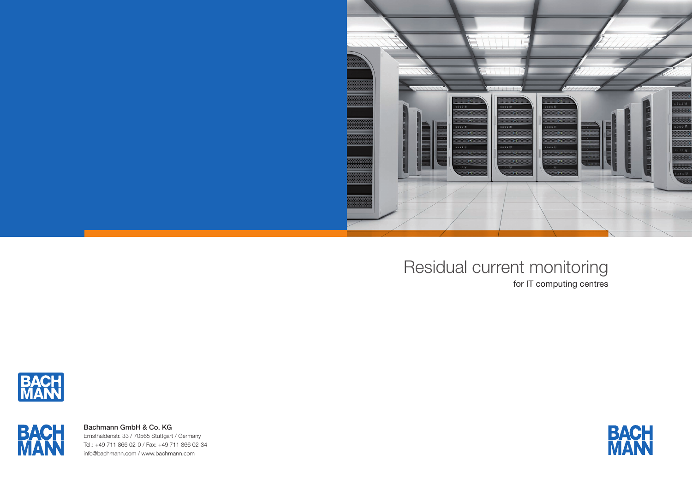

Residual current monitoring





# for IT computing centres



Bachmann GmbH & Co. KG Ernsthaldenstr. 33 / 70565 Stuttgart / Germany Tel.: +49 711 866 02-0 / Fax: +49 711 866 02-34 info@bachmann.com / www.bachmann.com